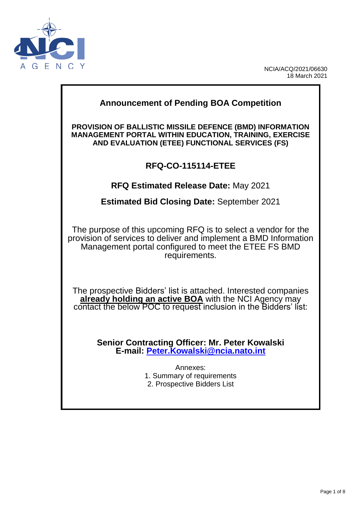

NCIA/ACQ/2021/06630 18 March 2021

# **Announcement of Pending BOA Competition**

**PROVISION OF BALLISTIC MISSILE DEFENCE (BMD) INFORMATION MANAGEMENT PORTAL WITHIN EDUCATION, TRAINING, EXERCISE AND EVALUATION (ETEE) FUNCTIONAL SERVICES (FS)**

### **RFQ-CO-115114-ETEE**

**RFQ Estimated Release Date:** May 2021

**Estimated Bid Closing Date:** September 2021

The purpose of this upcoming RFQ is to select a vendor for the provision of services to deliver and implement a BMD Information Management portal configured to meet the ETEE FS BMD requirements.

The prospective Bidders' list is attached. Interested companies **already holding an active BOA** with the NCI Agency may contact the below POC to request inclusion in the Bidders' list:

> **Senior Contracting Officer: Mr. Peter Kowalski E-mail: [Peter.Kowalski@ncia.nato.int](mailto:Peter.Kowalski@ncia.nato.int)**

> > Annexes: 1. Summary of requirements 2. Prospective Bidders List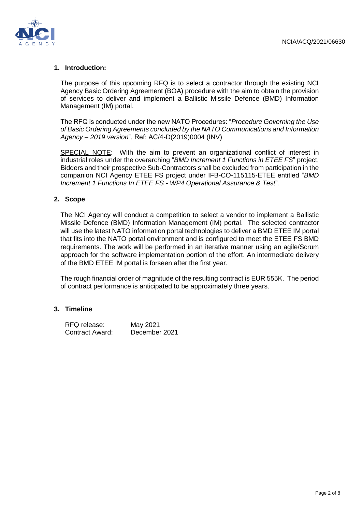

#### **1. Introduction:**

The purpose of this upcoming RFQ is to select a contractor through the existing NCI Agency Basic Ordering Agreement (BOA) procedure with the aim to obtain the provision of services to deliver and implement a Ballistic Missile Defence (BMD) Information Management (IM) portal.

The RFQ is conducted under the new NATO Procedures: "*Procedure Governing the Use of Basic Ordering Agreements concluded by the NATO Communications and Information Agency – 2019 version*", Ref: AC/4-D(2019)0004 (INV)

SPECIAL NOTE: With the aim to prevent an organizational conflict of interest in industrial roles under the overarching "*BMD Increment 1 Functions in ETEE FS*" project, Bidders and their prospective Sub-Contractors shall be excluded from participation in the companion NCI Agency ETEE FS project under IFB-CO-115115-ETEE entitled "*BMD Increment 1 Functions In ETEE FS - WP4 Operational Assurance & Test*".

#### **2. Scope**

The NCI Agency will conduct a competition to select a vendor to implement a Ballistic Missile Defence (BMD) Information Management (IM) portal. The selected contractor will use the latest NATO information portal technologies to deliver a BMD ETEE IM portal that fits into the NATO portal environment and is configured to meet the ETEE FS BMD requirements. The work will be performed in an iterative manner using an agile/Scrum approach for the software implementation portion of the effort. An intermediate delivery of the BMD ETEE IM portal is forseen after the first year.

The rough financial order of magnitude of the resulting contract is EUR 555K. The period of contract performance is anticipated to be approximately three years.

#### **3. Timeline**

| RFQ release:    | May 2021      |
|-----------------|---------------|
| Contract Award: | December 2021 |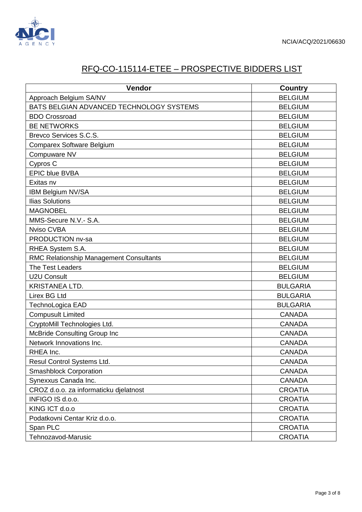

## RFQ-CO-115114-ETEE – PROSPECTIVE BIDDERS LIST

| Vendor                                   | <b>Country</b>  |
|------------------------------------------|-----------------|
| Approach Belgium SA/NV                   | <b>BELGIUM</b>  |
| BATS BELGIAN ADVANCED TECHNOLOGY SYSTEMS | <b>BELGIUM</b>  |
| <b>BDO Crossroad</b>                     | <b>BELGIUM</b>  |
| <b>BE NETWORKS</b>                       | <b>BELGIUM</b>  |
| Brevco Services S.C.S.                   | <b>BELGIUM</b>  |
| Comparex Software Belgium                | <b>BELGIUM</b>  |
| Compuware NV                             | <b>BELGIUM</b>  |
| Cypros C                                 | <b>BELGIUM</b>  |
| <b>EPIC blue BVBA</b>                    | <b>BELGIUM</b>  |
| Exitas nv                                | <b>BELGIUM</b>  |
| IBM Belgium NV/SA                        | <b>BELGIUM</b>  |
| <b>Ilias Solutions</b>                   | <b>BELGIUM</b>  |
| <b>MAGNOBEL</b>                          | <b>BELGIUM</b>  |
| MMS-Secure N.V.- S.A.                    | <b>BELGIUM</b>  |
| Nviso CVBA                               | <b>BELGIUM</b>  |
| PRODUCTION nv-sa                         | <b>BELGIUM</b>  |
| RHEA System S.A.                         | <b>BELGIUM</b>  |
| RMC Relationship Management Consultants  | <b>BELGIUM</b>  |
| The Test Leaders                         | <b>BELGIUM</b>  |
| <b>U2U Consult</b>                       | <b>BELGIUM</b>  |
| <b>KRISTANEA LTD.</b>                    | <b>BULGARIA</b> |
| Lirex BG Ltd                             | <b>BULGARIA</b> |
| TechnoLogica EAD                         | <b>BULGARIA</b> |
| <b>Compusult Limited</b>                 | <b>CANADA</b>   |
| CryptoMill Technologies Ltd.             | <b>CANADA</b>   |
| <b>McBride Consulting Group Inc</b>      | <b>CANADA</b>   |
| Network Innovations Inc.                 | <b>CANADA</b>   |
| RHEA Inc.                                | <b>CANADA</b>   |
| Resul Control Systems Ltd.               | <b>CANADA</b>   |
| <b>Smashblock Corporation</b>            | <b>CANADA</b>   |
| Synexxus Canada Inc.                     | <b>CANADA</b>   |
| CROZ d.o.o. za informaticku djelatnost   | <b>CROATIA</b>  |
| INFIGO IS d.o.o.                         | <b>CROATIA</b>  |
| KING ICT d.o.o                           | <b>CROATIA</b>  |
| Podatkovni Centar Kriz d.o.o.            | <b>CROATIA</b>  |
| Span PLC                                 | <b>CROATIA</b>  |
| Tehnozavod-Marusic                       | <b>CROATIA</b>  |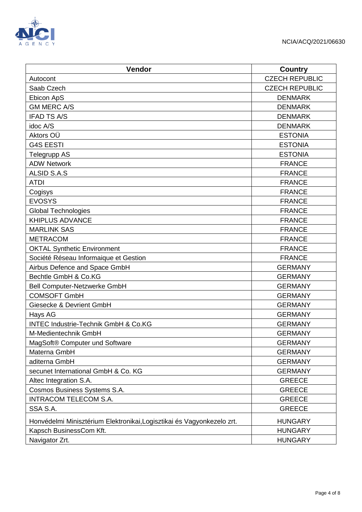

| Vendor                                                                 | <b>Country</b>        |
|------------------------------------------------------------------------|-----------------------|
| Autocont                                                               | <b>CZECH REPUBLIC</b> |
| Saab Czech                                                             | <b>CZECH REPUBLIC</b> |
| Ebicon ApS                                                             | <b>DENMARK</b>        |
| <b>GM MERC A/S</b>                                                     | <b>DENMARK</b>        |
| <b>IFAD TS A/S</b>                                                     | <b>DENMARK</b>        |
| idoc A/S                                                               | <b>DENMARK</b>        |
| Aktors OÜ                                                              | <b>ESTONIA</b>        |
| <b>G4S EESTI</b>                                                       | <b>ESTONIA</b>        |
| <b>Telegrupp AS</b>                                                    | <b>ESTONIA</b>        |
| <b>ADW Network</b>                                                     | <b>FRANCE</b>         |
| ALSID S.A.S                                                            | <b>FRANCE</b>         |
| <b>ATDI</b>                                                            | <b>FRANCE</b>         |
| Cogisys                                                                | <b>FRANCE</b>         |
| <b>EVOSYS</b>                                                          | <b>FRANCE</b>         |
| <b>Global Technologies</b>                                             | <b>FRANCE</b>         |
| <b>KHIPLUS ADVANCE</b>                                                 | <b>FRANCE</b>         |
| <b>MARLINK SAS</b>                                                     | <b>FRANCE</b>         |
| <b>METRACOM</b>                                                        | <b>FRANCE</b>         |
| <b>OKTAL Synthetic Environment</b>                                     | <b>FRANCE</b>         |
| Société Réseau Informaique et Gestion                                  | <b>FRANCE</b>         |
| Airbus Defence and Space GmbH                                          | <b>GERMANY</b>        |
| Bechtle GmbH & Co.KG                                                   | <b>GERMANY</b>        |
| Bell Computer-Netzwerke GmbH                                           | <b>GERMANY</b>        |
| <b>COMSOFT GmbH</b>                                                    | <b>GERMANY</b>        |
| Giesecke & Devrient GmbH                                               | <b>GERMANY</b>        |
| Hays AG                                                                | <b>GERMANY</b>        |
| <b>INTEC Industrie-Technik GmbH &amp; Co.KG</b>                        | <b>GERMANY</b>        |
| M-Medientechnik GmbH                                                   | <b>GERMANY</b>        |
| MagSoft® Computer und Software                                         | <b>GERMANY</b>        |
| Materna GmbH                                                           | <b>GERMANY</b>        |
| aditerna GmbH                                                          | <b>GERMANY</b>        |
| secunet International GmbH & Co. KG                                    | <b>GERMANY</b>        |
| Altec Integration S.A.                                                 | <b>GREECE</b>         |
| Cosmos Business Systems S.A.                                           | <b>GREECE</b>         |
| <b>INTRACOM TELECOM S.A.</b>                                           | <b>GREECE</b>         |
| SSA S.A.                                                               | <b>GREECE</b>         |
| Honvédelmi Minisztérium Elektronikai, Logisztikai és Vagyonkezelo zrt. | <b>HUNGARY</b>        |
| Kapsch BusinessCom Kft.                                                | <b>HUNGARY</b>        |
| Navigator Zrt.                                                         | <b>HUNGARY</b>        |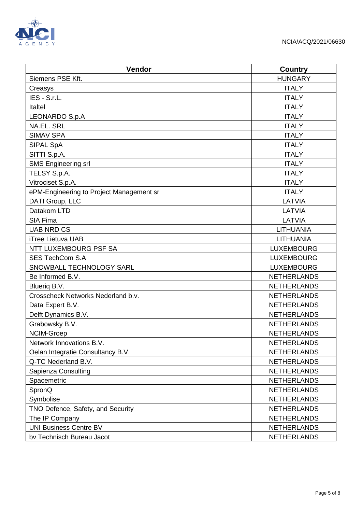

| Vendor                                   | <b>Country</b>     |
|------------------------------------------|--------------------|
| Siemens PSE Kft.                         | <b>HUNGARY</b>     |
| Creasys                                  | <b>ITALY</b>       |
| IES - S.r.L.                             | <b>ITALY</b>       |
| Italtel                                  | <b>ITALY</b>       |
| LEONARDO S.p.A                           | <b>ITALY</b>       |
| <b>NA.EL. SRL</b>                        | <b>ITALY</b>       |
| <b>SIMAV SPA</b>                         | <b>ITALY</b>       |
| SIPAL SpA                                | <b>ITALY</b>       |
| SITTI S.p.A.                             | <b>ITALY</b>       |
| <b>SMS Engineering srl</b>               | <b>ITALY</b>       |
| TELSY S.p.A.                             | <b>ITALY</b>       |
| Vitrociset S.p.A.                        | <b>ITALY</b>       |
| ePM-Engineering to Project Management sr | <b>ITALY</b>       |
| DATI Group, LLC                          | LATVIA             |
| Datakom LTD                              | LATVIA             |
| SIA Fima                                 | LATVIA             |
| <b>UAB NRD CS</b>                        | <b>LITHUANIA</b>   |
| <b>iTree Lietuva UAB</b>                 | <b>LITHUANIA</b>   |
| NTT LUXEMBOURG PSF SA                    | <b>LUXEMBOURG</b>  |
| <b>SES TechCom S.A</b>                   | <b>LUXEMBOURG</b>  |
| SNOWBALL TECHNOLOGY SARL                 | <b>LUXEMBOURG</b>  |
| Be Informed B.V.                         | <b>NETHERLANDS</b> |
| Bluerig B.V.                             | <b>NETHERLANDS</b> |
| Crosscheck Networks Nederland b.v.       | <b>NETHERLANDS</b> |
| Data Expert B.V.                         | <b>NETHERLANDS</b> |
| Delft Dynamics B.V.                      | <b>NETHERLANDS</b> |
| Grabowsky B.V.                           | <b>NETHERLANDS</b> |
| NCIM-Groep                               | <b>NETHERLANDS</b> |
| Network Innovations B.V.                 | <b>NETHERLANDS</b> |
| Oelan Integratie Consultancy B.V.        | <b>NETHERLANDS</b> |
| Q-TC Nederland B.V.                      | <b>NETHERLANDS</b> |
| Sapienza Consulting                      | <b>NETHERLANDS</b> |
| Spacemetric                              | <b>NETHERLANDS</b> |
| SpronQ                                   | <b>NETHERLANDS</b> |
| Symbolise                                | <b>NETHERLANDS</b> |
| TNO Defence, Safety, and Security        | <b>NETHERLANDS</b> |
| The IP Company                           | <b>NETHERLANDS</b> |
| <b>UNI Business Centre BV</b>            | <b>NETHERLANDS</b> |
| bv Technisch Bureau Jacot                | <b>NETHERLANDS</b> |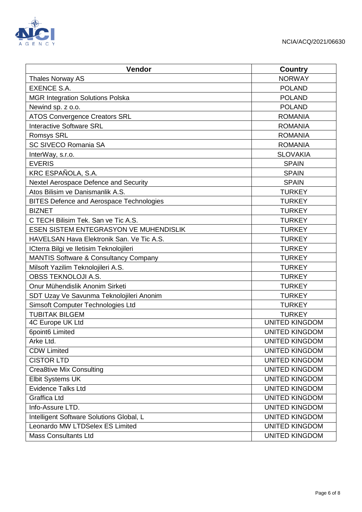

| Vendor                                           | <b>Country</b>        |
|--------------------------------------------------|-----------------------|
| Thales Norway AS                                 | <b>NORWAY</b>         |
| <b>EXENCE S.A.</b>                               | <b>POLAND</b>         |
| <b>MGR Integration Solutions Polska</b>          | <b>POLAND</b>         |
| Newind sp. z o.o.                                | <b>POLAND</b>         |
| <b>ATOS Convergence Creators SRL</b>             | <b>ROMANIA</b>        |
| <b>Interactive Software SRL</b>                  | <b>ROMANIA</b>        |
| <b>Romsys SRL</b>                                | <b>ROMANIA</b>        |
| <b>SC SIVECO Romania SA</b>                      | <b>ROMANIA</b>        |
| InterWay, s.r.o.                                 | <b>SLOVAKIA</b>       |
| <b>EVERIS</b>                                    | <b>SPAIN</b>          |
| KRC ESPAÑOLA, S.A.                               | <b>SPAIN</b>          |
| Nextel Aerospace Defence and Security            | <b>SPAIN</b>          |
| Atos Bilisim ve Danismanlik A.S.                 | <b>TURKEY</b>         |
| <b>BITES Defence and Aerospace Technologies</b>  | <b>TURKEY</b>         |
| <b>BIZNET</b>                                    | <b>TURKEY</b>         |
| C TECH Bilisim Tek. San ve Tic A.S.              | <b>TURKEY</b>         |
| ESEN SISTEM ENTEGRASYON VE MUHENDISLIK           | <b>TURKEY</b>         |
| HAVELSAN Hava Elektronik San. Ve Tic A.S.        | <b>TURKEY</b>         |
| ICterra Bilgi ve Iletisim Teknolojileri          | <b>TURKEY</b>         |
| <b>MANTIS Software &amp; Consultancy Company</b> | <b>TURKEY</b>         |
| Milsoft Yazilim Teknolojileri A.S.               | <b>TURKEY</b>         |
| <b>OBSS TEKNOLOJI A.S.</b>                       | <b>TURKEY</b>         |
| Onur Mühendislik Anonim Sirketi                  | <b>TURKEY</b>         |
| SDT Uzay Ve Savunma Teknolojileri Anonim         | <b>TURKEY</b>         |
| Simsoft Computer Technologies Ltd                | <b>TURKEY</b>         |
| <b>TUBITAK BILGEM</b>                            | <b>TURKEY</b>         |
| 4C Europe UK Ltd                                 | <b>UNITED KINGDOM</b> |
| 6point6 Limited                                  | <b>UNITED KINGDOM</b> |
| Arke Ltd.                                        | <b>UNITED KINGDOM</b> |
| <b>CDW Limited</b>                               | <b>UNITED KINGDOM</b> |
| <b>CISTOR LTD</b>                                | <b>UNITED KINGDOM</b> |
| <b>Crea8tive Mix Consulting</b>                  | <b>UNITED KINGDOM</b> |
| Elbit Systems UK                                 | <b>UNITED KINGDOM</b> |
| <b>Evidence Talks Ltd</b>                        | <b>UNITED KINGDOM</b> |
| <b>Graffica Ltd</b>                              | <b>UNITED KINGDOM</b> |
| Info-Assure LTD.                                 | <b>UNITED KINGDOM</b> |
| Intelligent Software Solutions Global, L         | <b>UNITED KINGDOM</b> |
| Leonardo MW LTDSelex ES Limited                  | <b>UNITED KINGDOM</b> |
| <b>Mass Consultants Ltd</b>                      | <b>UNITED KINGDOM</b> |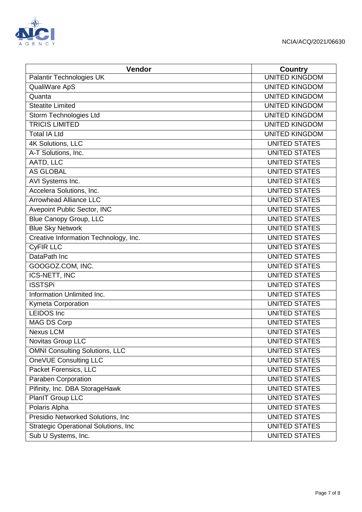

| Vendor                                       | <b>Country</b>        |
|----------------------------------------------|-----------------------|
| Palantir Technologies UK                     | <b>UNITED KINGDOM</b> |
| QualiWare ApS                                | <b>UNITED KINGDOM</b> |
| Quanta                                       | <b>UNITED KINGDOM</b> |
| <b>Steatite Limited</b>                      | <b>UNITED KINGDOM</b> |
| Storm Technologies Ltd                       | <b>UNITED KINGDOM</b> |
| <b>TRICIS LIMITED</b>                        | <b>UNITED KINGDOM</b> |
| <b>Total IA Ltd</b>                          | <b>UNITED KINGDOM</b> |
| 4K Solutions, LLC                            | <b>UNITED STATES</b>  |
| A-T Solutions, Inc.                          | <b>UNITED STATES</b>  |
| AATD, LLC                                    | <b>UNITED STATES</b>  |
| <b>AS GLOBAL</b>                             | <b>UNITED STATES</b>  |
| AVI Systems Inc.                             | <b>UNITED STATES</b>  |
| Accelera Solutions, Inc.                     | <b>UNITED STATES</b>  |
| <b>Arrowhead Alliance LLC</b>                | <b>UNITED STATES</b>  |
| Avepoint Public Sector, INC                  | <b>UNITED STATES</b>  |
| <b>Blue Canopy Group, LLC</b>                | <b>UNITED STATES</b>  |
| <b>Blue Sky Network</b>                      | <b>UNITED STATES</b>  |
| Creative Information Technology, Inc.        | <b>UNITED STATES</b>  |
| <b>CyFIR LLC</b>                             | <b>UNITED STATES</b>  |
| DataPath Inc                                 | <b>UNITED STATES</b>  |
| GOOGOZ.COM, INC.                             | <b>UNITED STATES</b>  |
| <b>ICS-NETT, INC</b>                         | <b>UNITED STATES</b>  |
| <b>ISSTSPi</b>                               | <b>UNITED STATES</b>  |
| Information Unlimited Inc.                   | <b>UNITED STATES</b>  |
| <b>Kymeta Corporation</b>                    | <b>UNITED STATES</b>  |
| <b>LEIDOS</b> Inc                            | <b>UNITED STATES</b>  |
| <b>MAG DS Corp</b>                           | <b>UNITED STATES</b>  |
| <b>Nexus LCM</b>                             | <b>UNITED STATES</b>  |
| Novitas Group LLC                            | <b>UNITED STATES</b>  |
| <b>OMNI Consulting Solutions, LLC</b>        | <b>UNITED STATES</b>  |
| OneVUE Consulting LLC                        | <b>UNITED STATES</b>  |
| Packet Forensics, LLC                        | <b>UNITED STATES</b>  |
| Paraben Corporation                          | <b>UNITED STATES</b>  |
| Pifinity, Inc. DBA StorageHawk               | <b>UNITED STATES</b>  |
| PlanIT Group LLC                             | <b>UNITED STATES</b>  |
| Polaris Alpha                                | <b>UNITED STATES</b>  |
| Presidio Networked Solutions, Inc            | <b>UNITED STATES</b>  |
| <b>Strategic Operational Solutions, Inc.</b> | <b>UNITED STATES</b>  |
| Sub U Systems, Inc.                          | <b>UNITED STATES</b>  |